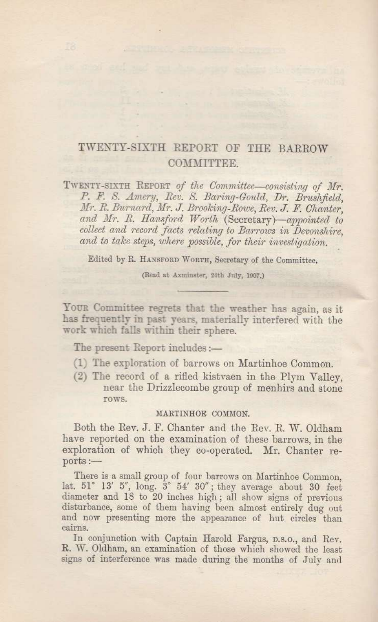## TWENTY-SIXTH REPORT OF THE BARROW COMMITTEE.

TWENTY-SIXTH REPORT of the Committee-consisting of Mr. P. F. S. Amery, Rev. S. Baring-Gould, Dr. Brushfield, Mr. R. Burnard, Mr. J. Brooking-Rowe, Rev. J. F. Chanter, and Mr. R. Hansford Worth (Secretary)-appointed to collect and record facts relating to Barrows in Devonshire. and to take steps, where possible, for their investigation.

Edited by R. HANSFORD WORTH, Secretary of the Committee.

(Read at Axminster, 24th July, 1907.)

YOUR Committee regrets that the weather has again, as it has frequently in past years, materially interfered with the work which falls within their sphere.

The present Report includes:-

- (1) The exploration of barrows on Martinhoe Common.
- (2) The record of a rifled kistvaen in the Plym Valley, near the Drizzlecombe group of menhirs and stone rows.

## MARTINHOE COMMON.

Both the Rev. J. F. Chanter and the Rev. R. W. Oldham have reported on the examination of these barrows, in the exploration of which they co-operated. Mr. Chanter re $ports:$   $-$ 

There is a small group of four barrows on Martinhoe Common. lat. 51° 13' 5", long. 3° 54' 30"; they average about 30 feet diameter and 18 to 20 inches high; all show signs of previous disturbance, some of them having been almost entirely dug out and now presenting more the appearance of hut circles than cairns.

In conjunction with Captain Harold Fargus, p.s.o., and Rev. R. W. Oldham, an examination of those which showed the least signs of interference was made during the months of July and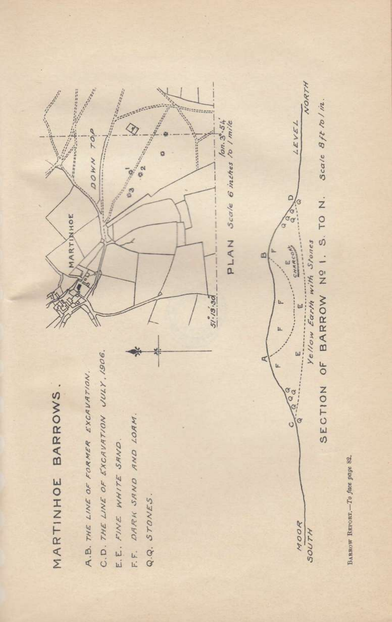

BARROW REPORT. To fuce page 82.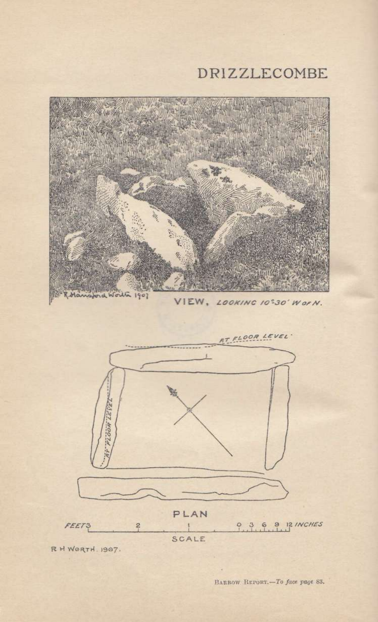# DRIZZLECOMBE



R H WORTH. 1907.